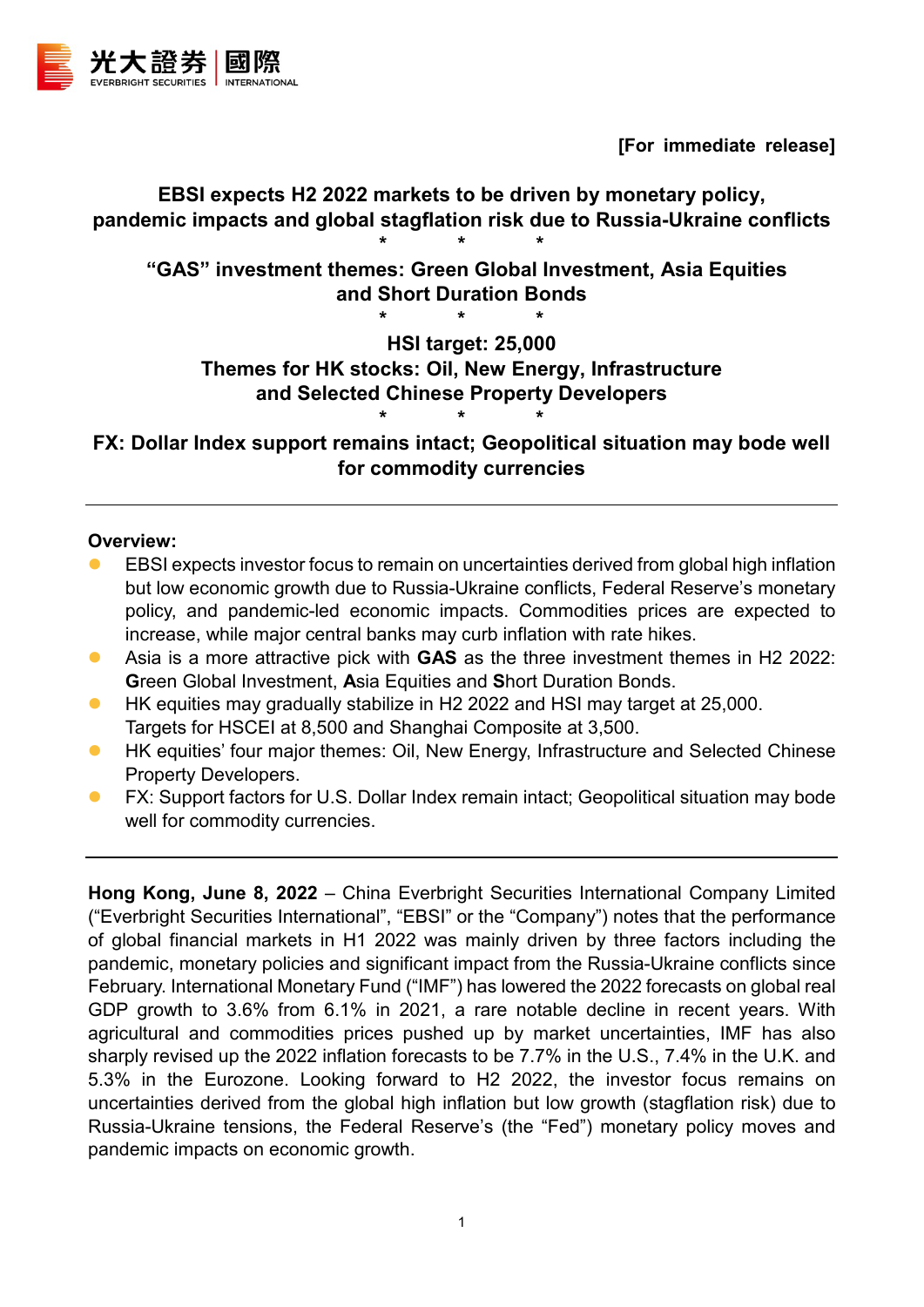

**[For immediate release]**

# **EBSI expects H2 2022 markets to be driven by monetary policy, pandemic impacts and global stagflation risk due to Russia-Ukraine conflicts**

**\* \* \* "GAS" investment themes: Green Global Investment, Asia Equities and Short Duration Bonds**

**HSI target: 25,000**

# **Themes for HK stocks: Oil, New Energy, Infrastructure and Selected Chinese Property Developers**

**\* \* \***

**\* \* \* FX: Dollar Index support remains intact; Geopolitical situation may bode well for commodity currencies**

#### **Overview:**

- EBSI expects investor focus to remain on uncertainties derived from global high inflation but low economic growth due to Russia-Ukraine conflicts, Federal Reserve's monetary policy, and pandemic-led economic impacts. Commodities prices are expected to increase, while major central banks may curb inflation with rate hikes.
- Asia is a more attractive pick with **GAS** as the three investment themes in H2 2022: **G**reen Global Investment, **A**sia Equities and **S**hort Duration Bonds.
- HK equities may gradually stabilize in H2 2022 and HSI may target at 25,000. Targets for HSCEI at 8,500 and Shanghai Composite at 3,500.
- **HK equities' four major themes: Oil, New Energy, Infrastructure and Selected Chinese** Property Developers.
- FX: Support factors for U.S. Dollar Index remain intact; Geopolitical situation may bode well for commodity currencies.

**Hong Kong, June 8, 2022** – China Everbright Securities International Company Limited ("Everbright Securities International", "EBSI" or the "Company") notes that the performance of global financial markets in H1 2022 was mainly driven by three factors including the pandemic, monetary policies and significant impact from the Russia-Ukraine conflicts since February. International Monetary Fund ("IMF") has lowered the 2022 forecasts on global real GDP growth to 3.6% from 6.1% in 2021, a rare notable decline in recent years. With agricultural and commodities prices pushed up by market uncertainties, IMF has also sharply revised up the 2022 inflation forecasts to be 7.7% in the U.S., 7.4% in the U.K. and 5.3% in the Eurozone. Looking forward to H2 2022, the investor focus remains on uncertainties derived from the global high inflation but low growth (stagflation risk) due to Russia-Ukraine tensions, the Federal Reserve's (the "Fed") monetary policy moves and pandemic impacts on economic growth.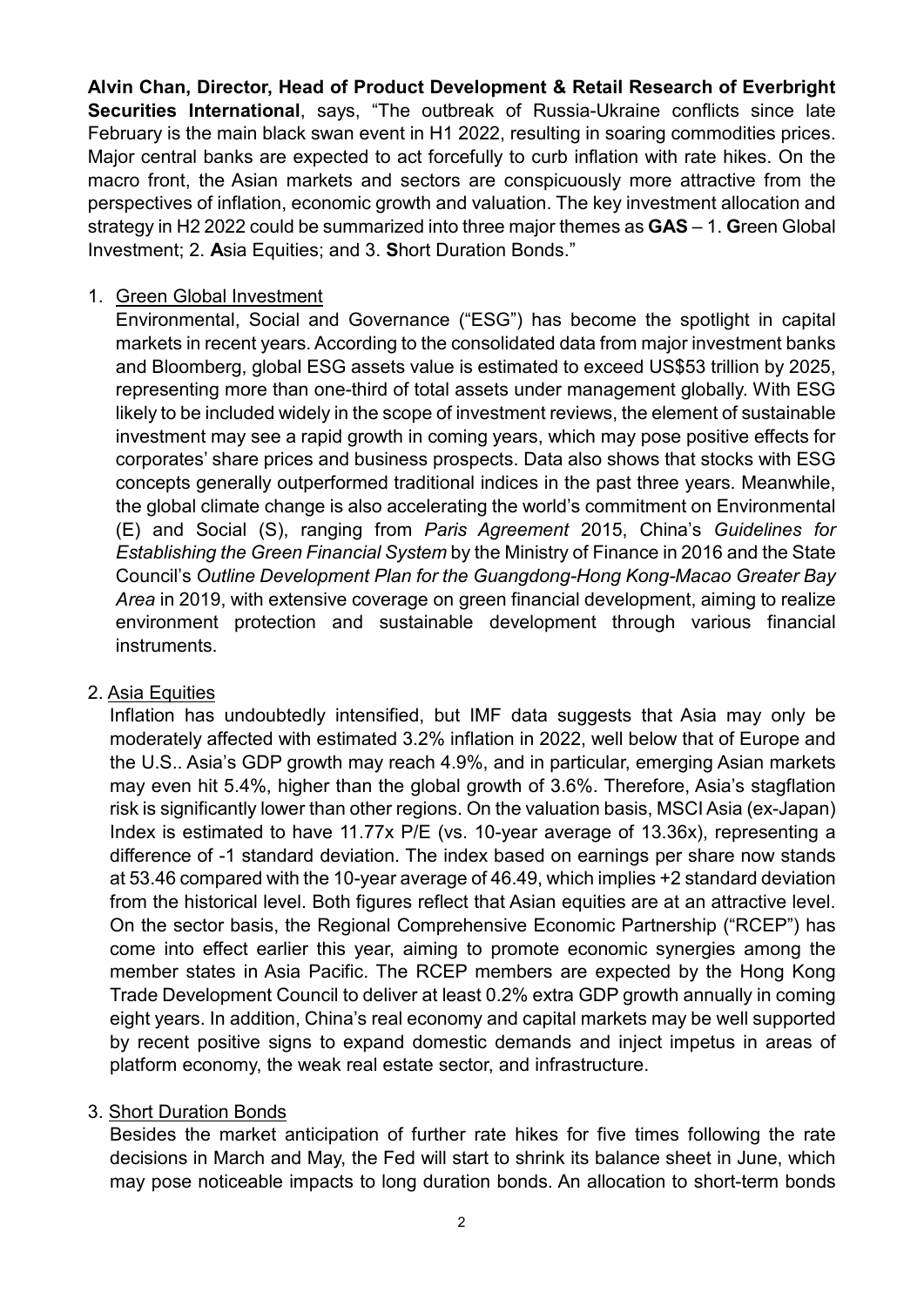**Alvin Chan, Director, Head of Product Development & Retail Research of Everbright Securities International**, says, "The outbreak of Russia-Ukraine conflicts since late February is the main black swan event in H1 2022, resulting in soaring commodities prices. Major central banks are expected to act forcefully to curb inflation with rate hikes. On the macro front, the Asian markets and sectors are conspicuously more attractive from the perspectives of inflation, economic growth and valuation. The key investment allocation and strategy in H2 2022 could be summarized into three major themes as **GAS** – 1. **G**reen Global Investment; 2. **A**sia Equities; and 3. **S**hort Duration Bonds."

#### 1. Green Global Investment

Environmental, Social and Governance ("ESG") has become the spotlight in capital markets in recent years. According to the consolidated data from major investment banks and Bloomberg, global ESG assets value is estimated to exceed US\$53 trillion by 2025, representing more than one-third of total assets under management globally. With ESG likely to be included widely in the scope of investment reviews, the element of sustainable investment may see a rapid growth in coming years, which may pose positive effects for corporates' share prices and business prospects. Data also shows that stocks with ESG concepts generally outperformed traditional indices in the past three years. Meanwhile, the global climate change is also accelerating the world's commitment on Environmental (E) and Social (S), ranging from *Paris Agreement* 2015, China's *Guidelines for Establishing the Green Financial System* by the Ministry of Finance in 2016 and the State Council's *Outline Development Plan for the Guangdong-Hong Kong-Macao Greater Bay Area* in 2019, with extensive coverage on green financial development, aiming to realize environment protection and sustainable development through various financial instruments.

## 2. Asia Equities

Inflation has undoubtedly intensified, but IMF data suggests that Asia may only be moderately affected with estimated 3.2% inflation in 2022, well below that of Europe and the U.S.. Asia's GDP growth may reach 4.9%, and in particular, emerging Asian markets may even hit 5.4%, higher than the global growth of 3.6%. Therefore, Asia's stagflation risk is significantly lower than other regions. On the valuation basis, MSCI Asia (ex-Japan) Index is estimated to have 11.77x P/E (vs. 10-year average of 13.36x), representing a difference of -1 standard deviation. The index based on earnings per share now stands at 53.46 compared with the 10-year average of 46.49, which implies +2 standard deviation from the historical level. Both figures reflect that Asian equities are at an attractive level. On the sector basis, the Regional Comprehensive Economic Partnership ("RCEP") has come into effect earlier this year, aiming to promote economic synergies among the member states in Asia Pacific. The RCEP members are expected by the Hong Kong Trade Development Council to deliver at least 0.2% extra GDP growth annually in coming eight years. In addition, China's real economy and capital markets may be well supported by recent positive signs to expand domestic demands and inject impetus in areas of platform economy, the weak real estate sector, and infrastructure.

## 3. Short Duration Bonds

Besides the market anticipation of further rate hikes for five times following the rate decisions in March and May, the Fed will start to shrink its balance sheet in June, which may pose noticeable impacts to long duration bonds. An allocation to short-term bonds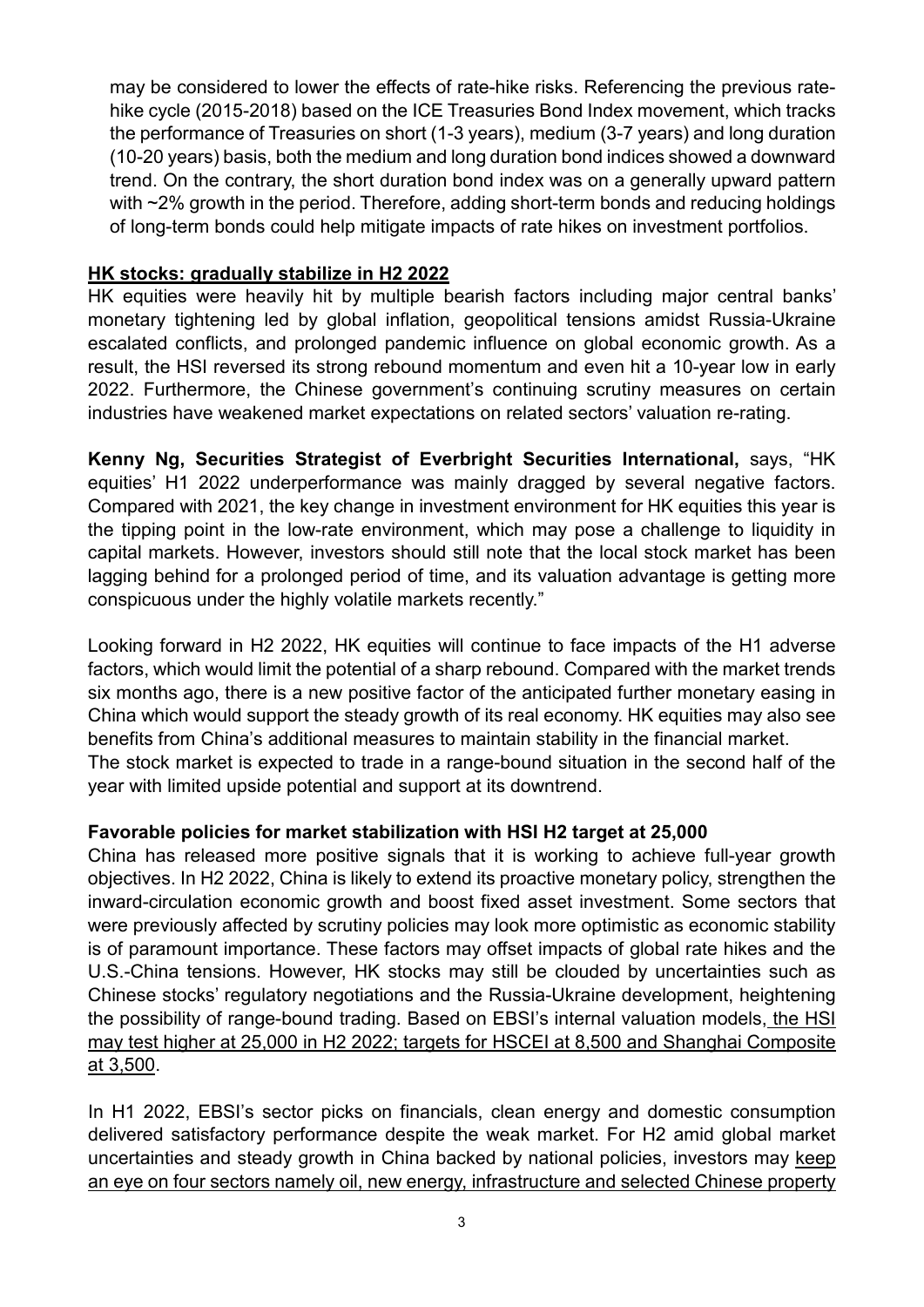may be considered to lower the effects of rate-hike risks. Referencing the previous ratehike cycle (2015-2018) based on the ICE Treasuries Bond Index movement, which tracks the performance of Treasuries on short (1-3 years), medium (3-7 years) and long duration (10-20 years) basis, both the medium and long duration bond indices showed a downward trend. On the contrary, the short duration bond index was on a generally upward pattern with ~2% growth in the period. Therefore, adding short-term bonds and reducing holdings of long-term bonds could help mitigate impacts of rate hikes on investment portfolios.

#### **HK stocks: gradually stabilize in H2 2022**

HK equities were heavily hit by multiple bearish factors including major central banks' monetary tightening led by global inflation, geopolitical tensions amidst Russia-Ukraine escalated conflicts, and prolonged pandemic influence on global economic growth. As a result, the HSI reversed its strong rebound momentum and even hit a 10-year low in early 2022. Furthermore, the Chinese government's continuing scrutiny measures on certain industries have weakened market expectations on related sectors' valuation re-rating.

**Kenny Ng, Securities Strategist of Everbright Securities International,** says, "HK equities' H1 2022 underperformance was mainly dragged by several negative factors. Compared with 2021, the key change in investment environment for HK equities this year is the tipping point in the low-rate environment, which may pose a challenge to liquidity in capital markets. However, investors should still note that the local stock market has been lagging behind for a prolonged period of time, and its valuation advantage is getting more conspicuous under the highly volatile markets recently."

Looking forward in H2 2022, HK equities will continue to face impacts of the H1 adverse factors, which would limit the potential of a sharp rebound. Compared with the market trends six months ago, there is a new positive factor of the anticipated further monetary easing in China which would support the steady growth of its real economy. HK equities may also see benefits from China's additional measures to maintain stability in the financial market. The stock market is expected to trade in a range-bound situation in the second half of the year with limited upside potential and support at its downtrend.

## **Favorable policies for market stabilization with HSI H2 target at 25,000**

China has released more positive signals that it is working to achieve full-year growth objectives. In H2 2022, China is likely to extend its proactive monetary policy, strengthen the inward-circulation economic growth and boost fixed asset investment. Some sectors that were previously affected by scrutiny policies may look more optimistic as economic stability is of paramount importance. These factors may offset impacts of global rate hikes and the U.S.-China tensions. However, HK stocks may still be clouded by uncertainties such as Chinese stocks' regulatory negotiations and the Russia-Ukraine development, heightening the possibility of range-bound trading. Based on EBSI's internal valuation models, the HSI may test higher at 25,000 in H2 2022; targets for HSCEI at 8,500 and Shanghai Composite at 3,500.

In H1 2022, EBSI's sector picks on financials, clean energy and domestic consumption delivered satisfactory performance despite the weak market. For H2 amid global market uncertainties and steady growth in China backed by national policies, investors may keep an eye on four sectors namely oil, new energy, infrastructure and selected Chinese property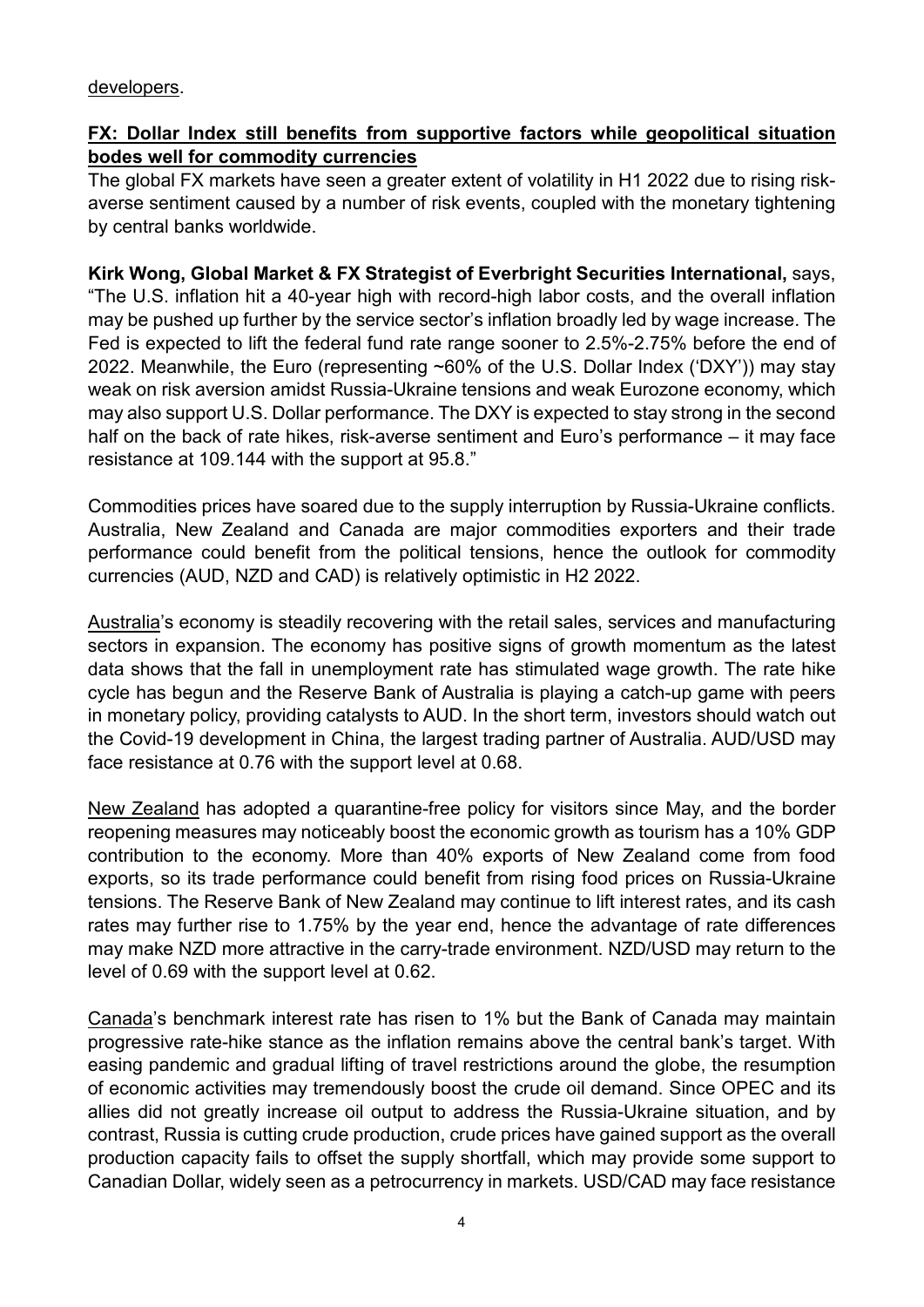#### developers.

## **FX: Dollar Index still benefits from supportive factors while geopolitical situation bodes well for commodity currencies**

The global FX markets have seen a greater extent of volatility in H1 2022 due to rising riskaverse sentiment caused by a number of risk events, coupled with the monetary tightening by central banks worldwide.

**Kirk Wong, Global Market & FX Strategist of Everbright Securities International,** says, "The U.S. inflation hit a 40-year high with record-high labor costs, and the overall inflation may be pushed up further by the service sector's inflation broadly led by wage increase. The Fed is expected to lift the federal fund rate range sooner to 2.5%-2.75% before the end of 2022. Meanwhile, the Euro (representing ~60% of the U.S. Dollar Index ('DXY')) may stay weak on risk aversion amidst Russia-Ukraine tensions and weak Eurozone economy, which may also support U.S. Dollar performance. The DXY is expected to stay strong in the second half on the back of rate hikes, risk-averse sentiment and Euro's performance – it may face resistance at 109.144 with the support at 95.8."

Commodities prices have soared due to the supply interruption by Russia-Ukraine conflicts. Australia, New Zealand and Canada are major commodities exporters and their trade performance could benefit from the political tensions, hence the outlook for commodity currencies (AUD, NZD and CAD) is relatively optimistic in H2 2022.

Australia's economy is steadily recovering with the retail sales, services and manufacturing sectors in expansion. The economy has positive signs of growth momentum as the latest data shows that the fall in unemployment rate has stimulated wage growth. The rate hike cycle has begun and the Reserve Bank of Australia is playing a catch-up game with peers in monetary policy, providing catalysts to AUD. In the short term, investors should watch out the Covid-19 development in China, the largest trading partner of Australia. AUD/USD may face resistance at 0.76 with the support level at 0.68.

New Zealand has adopted a quarantine-free policy for visitors since May, and the border reopening measures may noticeably boost the economic growth as tourism has a 10% GDP contribution to the economy. More than 40% exports of New Zealand come from food exports, so its trade performance could benefit from rising food prices on Russia-Ukraine tensions. The Reserve Bank of New Zealand may continue to lift interest rates, and its cash rates may further rise to 1.75% by the year end, hence the advantage of rate differences may make NZD more attractive in the carry-trade environment. NZD/USD may return to the level of 0.69 with the support level at 0.62.

Canada's benchmark interest rate has risen to 1% but the Bank of Canada may maintain progressive rate-hike stance as the inflation remains above the central bank's target. With easing pandemic and gradual lifting of travel restrictions around the globe, the resumption of economic activities may tremendously boost the crude oil demand. Since OPEC and its allies did not greatly increase oil output to address the Russia-Ukraine situation, and by contrast, Russia is cutting crude production, crude prices have gained support as the overall production capacity fails to offset the supply shortfall, which may provide some support to Canadian Dollar, widely seen as a petrocurrency in markets. USD/CAD may face resistance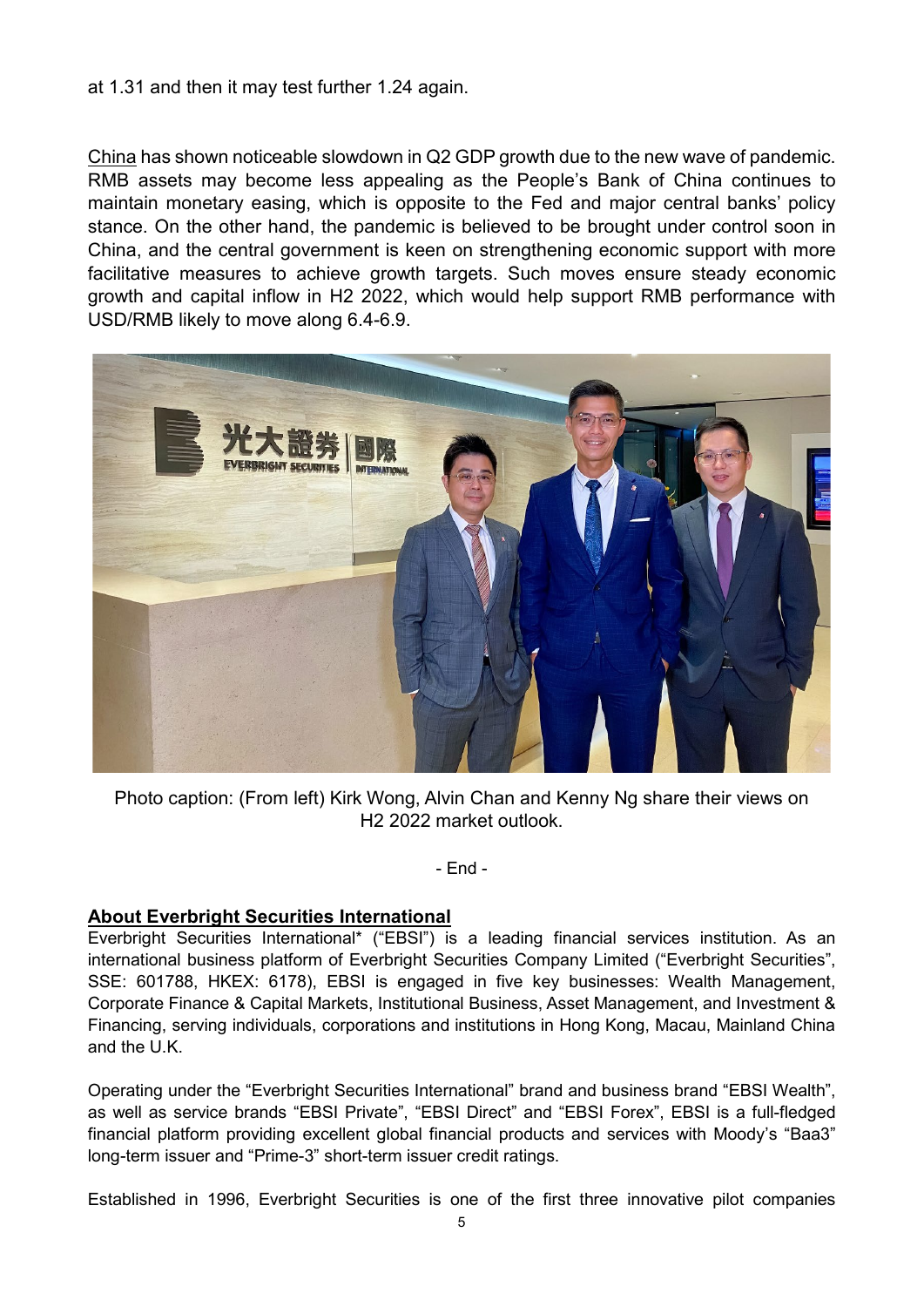at 1.31 and then it may test further 1.24 again.

China has shown noticeable slowdown in Q2 GDP growth due to the new wave of pandemic. RMB assets may become less appealing as the People's Bank of China continues to maintain monetary easing, which is opposite to the Fed and major central banks' policy stance. On the other hand, the pandemic is believed to be brought under control soon in China, and the central government is keen on strengthening economic support with more facilitative measures to achieve growth targets. Such moves ensure steady economic growth and capital inflow in H2 2022, which would help support RMB performance with USD/RMB likely to move along 6.4-6.9.



Photo caption: (From left) Kirk Wong, Alvin Chan and Kenny Ng share their views on H2 2022 market outlook.

- End -

#### **About Everbright Securities International**

Everbright Securities International\* ("EBSI") is a leading financial services institution. As an international business platform of Everbright Securities Company Limited ("Everbright Securities", SSE: 601788, HKEX: 6178), EBSI is engaged in five key businesses: Wealth Management, Corporate Finance & Capital Markets, Institutional Business, Asset Management, and Investment & Financing, serving individuals, corporations and institutions in Hong Kong, Macau, Mainland China and the U.K.

Operating under the "Everbright Securities International" brand and business brand "EBSI Wealth", as well as service brands "EBSI Private", "EBSI Direct" and "EBSI Forex", EBSI is a full-fledged financial platform providing excellent global financial products and services with Moody's "Baa3" long-term issuer and "Prime-3" short-term issuer credit ratings.

Established in 1996, Everbright Securities is one of the first three innovative pilot companies